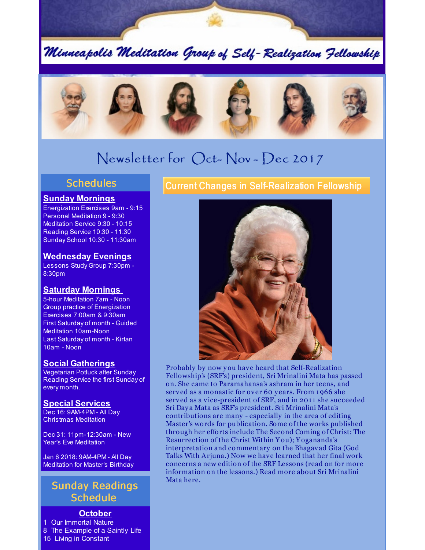Minneapolis Meditation Group of Self-Realization Fellowship



# Newsletter for Oct- Nov - Dec 2017

#### **Schedules**

#### **Sunday Mornings**

Energization Exercises 9am - 9:15 Personal Meditation 9 - 9:30 Meditation Service 9:30 - 10:15 Reading Service 10:30 - 11:30 Sunday School 10:30 - 11:30am

#### **Wednesday Evenings**

Lessons Study Group 7:30pm - 8:30pm

#### **Saturday Mornings**

5-hour Meditation 7am - Noon Group practice of Energization Exercises 7:00am & 9:30am First Saturday of month - Guided Meditation 10am-Noon Last Saturday of month - Kirtan 10am - Noon

#### **Social Gatherings**

Vegetarian Potluck after Sunday Reading Service the first Sunday of every month.

#### **Special Services**

Dec 16: 9AM-4PM - All Day Christmas Meditation

Dec 31: 11pm-12:30am - New Year's Eve Meditation

Jan 6 2018: 9AM-4PM - All Day Meditation for Master's Birthday

## Sunday Readings **Schedule**

### **October**

1 Our Immortal Nature 8 The Example of a Saintly Life 15 Living in Constant

Current Changes in Self-Realization Fellowship



Probably by now you have heard that Self-Realization Fellowship's (SRF's) president, Sri Mrinalini Mata has passed on. She came to Paramahansa's ashram in her teens, and served as a monastic for over 60 y ears. From 1966 she served as a vice-president of SRF, and in 2011 she succeeded Sri Day a Mata as SRF's president. Sri Mrinalini Mata's contributions are many - especially in the area of editing Master's words for publication. Some of the works published through her efforts include The Second Coming of Christ: The Resurrection of the Christ Within Y ou); Y ogananda's interpretation and commentary on the Bhagavad Gita (God Talks With Arjuna.) Now we have learned that her final work concerns a new edition of the SRF Lessons (read on for more [information](http://www.yogananda-srf.org/lineageandleadership/SMM/A_Special_Message_From_the_Self-Realization_Fellowship_Board_of_Directors.aspx) on the lessons.) Read more about Sri Mrinalini Mata here.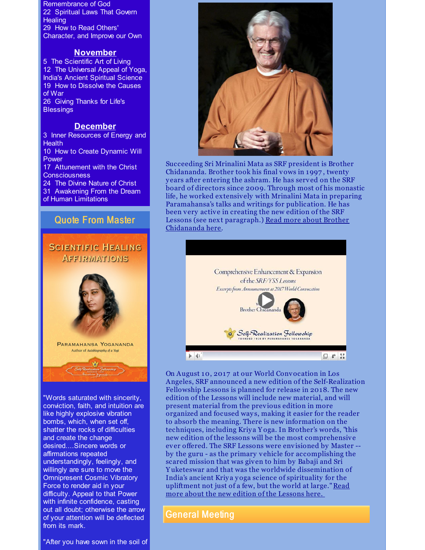Remembrance of God 22 Spiritual Laws That Govern **Healing** 29 How to Read Others' Character, and Improve our Own

#### **November**

5 The Scientific Art of Living 12 The Universal Appeal of Yoga, India's Ancient Spiritual Science 19 How to Dissolve the Causes of War 26 Giving Thanks for Life's **Blessings** 

#### **December**

3 Inner Resources of Energy and **Health** 10 How to Create Dynamic Will Power 17 Attunement with the Christ **Consciousness** 24 The Divine Nature of Christ 31 Awakening From the Dream of Human Limitations

#### Quote From Master

## **SCIENTIFIC HEALING** AFFIRMATIONS



"Words saturated with sincerity, conviction, faith, and intuition are like highly explosive vibration bombs, which, when set off, shatter the rocks of difficulties and create the change desired....Sincere words or affirmations repeated understandingly, feelingly, and willingly are sure to move the Omnipresent Cosmic Vibratory Force to render aid in your difficulty. Appeal to that Power with infinite confidence, casting out all doubt; otherwise the arrow of your attention will be deflected from its mark.

"After you have sown in the soil of



Succeeding Sri Mrinalini Mata as SRF president is Brother Chidananda. Brother took his final vows in 1997 , twenty y ears after entering the ashram. He has served on the SRF board of directors since 2009. Through most of his monastic life, he worked extensively with Mrinalini Mata in preparing Paramahansa's talks and writings for publication. He has been very active in creating the new edition of the SRF Lessons (see next [paragraph.\)](http://www.yogananda-srf.org/NewsArchive/2017/SRF_Announces_New_President.aspx) Read more about Brother Chidananda here.



On August 10, 2017 at our World Convocation in Los Angeles, SRF announced a new edition of the Self-Realization Fellowship Lessons is planned for release in 2018. The new edition of the Lessons will include new material, and will present material from the previous edition in more organized and focused way s, making it easier for the reader to absorb the meaning. There is new information on the techniques, including Kriy a Y oga. In Brother's words, "this new edition of the lessons will be the most comprehensive ever offered. The SRF Lessons were envisioned by Master - by the guru - as the primary vehicle for accomplishing the scared mission that was given to him by Babaji and Sri Y uketeswar and that was the worldwide dissemination of India's ancient Kriy a yoga science of spirituality for the upliftment not just of a few, but the world at [large."Read](http://www.yogananda-srf.org/SRF_Lessons_New_Edition_Announcement.aspx) more about the new edition of the Lessons here.

#### General Meeting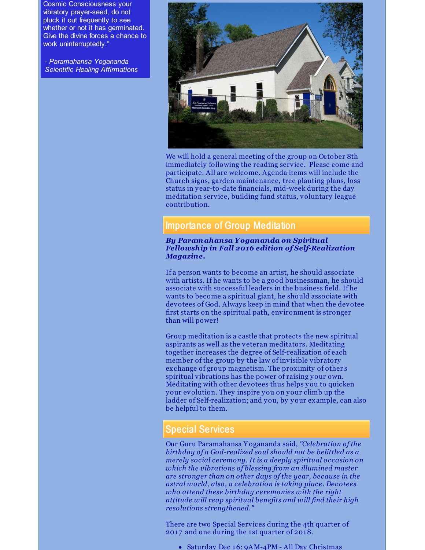Cosmic Consciousness your vibratory prayer-seed, do not pluck it out frequently to see whether or not it has germinated. Give the divine forces a chance to work uninterruptedly."

- *Paramahansa Yogananda Scientific Healing Affirmations*



We will hold a general meeting of the group on October 8th immediately following the reading service. Please come and participate. All are welcome. Agenda items will include the Church signs, garden maintenance, tree planting plans, loss status in y ear-to-date financials, mid-week during the day meditation service, building fund status, voluntary league contribution.

## Importance of Group Meditation

#### *By Paramahansa Yogananda on Spiritual Fellowship in Fall 2016 edition of Self-Realization Magazine.*

If a person wants to become an artist, he should associate with artists. If he wants to be a good businessman, he should associate with successful leaders in the business field. If he wants to become a spiritual giant, he should associate with devotees of God. Always keep in mind that when the devotee first starts on the spiritual path, environment is stronger than will power!

Group meditation is a castle that protects the new spiritual aspirants as well as the veteran meditators. Meditating together increases the degree of Self-realization of each member of the group by the law of invisible vibratory exchange of group magnetism. The proximity of other's spiritual vibrations has the power of raising your own. Meditating with other devotees thus helps you to quicken your evolution. They inspire you on your climb up the ladder of Self-realization; and you, by your example, can also be helpful to them.

#### Special Services

Our Guru Paramahansa Y ogananda said, *"Celebration of the birthday of a God-realized soul should not be belittled as a merely social ceremony. It is a deeply spiritual occasion on which the vibrations of blessing from an illumined master are stronger than on other days of the year, because in the astral world, also, a celebration is taking place. Devotees who attend these birthday ceremonies with the right attitude will reap spiritual benefits and will find their high resolutions strengthened."*

There are two Special Services during the 4th quarter of 2017 and one during the 1 st quarter of 2018.

• Saturday Dec 16: 9AM-4PM - All Day Christmas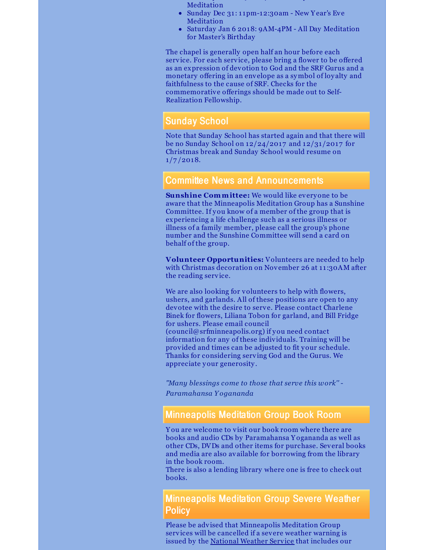- Saturday Dec 16: 9AM-4PM All Day Christmas Meditation
- Sunday Dec 31:11pm-12:30am New Year's Eve Meditation
- Saturday Jan 6 2018: 9AM-4PM All Day Meditation for Master's Birthday

The chapel is generally open half an hour before each service. For each service, please bring a flower to be offered as an expression of devotion to God and the SRF Gurus and a monetary offering in an envelope as a symbol of loy alty and faithfulness to the cause of SRF. Checks for the commemorative offerings should be made out to Self-Realization Fellowship.

## Sunday School

Note that Sunday School has started again and that there will be no Sunday School on 12/24/2017 and 12/31/2017 for Christmas break and Sunday School would resume on  $1/7/2018.$ 

## Committee News and Announcements

**Sunshine Committee:** We would like everyone to be aware that the Minneapolis Meditation Group has a Sunshine Committee. If you know of a member of the group that is experiencing a life challenge such as a serious illness or illness of a family member, please call the group's phone number and the Sunshine Committee will send a card on behalf of the group.

**Volunteer Opportunities:** Volunteers are needed to help with Christmas decoration on November 26 at 11:30AM after the reading service.

We are also looking for volunteers to help with flowers, ushers, and garlands. All of these positions are open to any devotee with the desire to serve. Please contact Charlene Binek for flowers, Liliana Tobon for garland, and Bill Fridge for ushers. Please email council (council@srfminneapolis.org) if you need contact information for any of these individuals. Training will be provided and times can be adjusted to fit your schedule. Thanks for considering serving God and the Gurus. We appreciate your generosity .

*"Many blessings come to those that serve this work'' - Paramahansa Y ogananda*

## Minneapolis Meditation Group Book Room

Y ou are welcome to visit our book room where there are books and audio CDs by Paramahansa Y ogananda as well as other CDs, DVDs and other items for purchase. Several books and media are also available for borrowing from the library in the book room.

There is also a lending library where one is free to check out books.

Minneapolis Meditation Group Severe Weather Policy

Please be advised that Minneapolis Meditation Group services will be cancelled if a severe weather warning is issued by the [National](http://forecast.weather.gov/MapClick.php?CityName=Minneapolis&state=MN&site=MPX&textField1=44.9618&textField2=-93.2668&e=0) Weather Service that includes our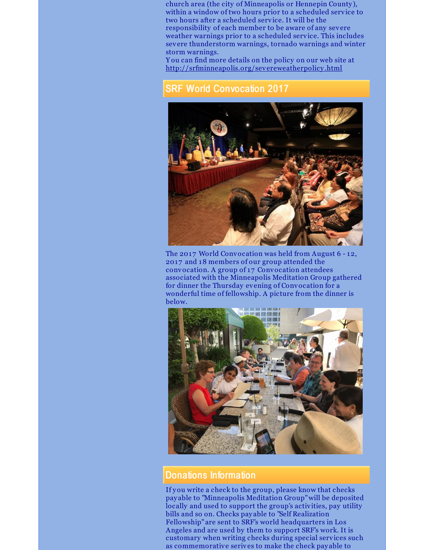church area (the city of Minneapolis or Hennepin County ), within a window of two hours prior to a scheduled service to two hours after a scheduled service. It will be the responsibility of each member to be aware of any severe weather warnings prior to a scheduled service. This includes severe thunderstorm warnings, tornado warnings and winter storm warnings.

Y ou can find more details on the policy on our web site at [http://srfminneapolis.org/severeweatherpolicy](http://srfminneapolis.org/severeweatherpolicy.html) .html

## SRF World Convocation 2017



The 2017 World Convocation was held from August 6 - 12, 2017 and 18 members of our group attended the convocation. A group of 17 Convocation attendees associated with the Minneapolis Meditation Group gathered for dinner the Thursday evening of Convocation for a wonderful time of fellowship. A picture from the dinner is below.



#### Donations Information

If you write a check to the group, please know that checks pay able to "Minneapolis Meditation Group"will be deposited locally and used to support the group's activities, pay utility bills and so on. Checks pay able to "Self Realization Fellowship" are sent to SRF's world headquarters in Los Angeles and are used by them to support SRF's work. It is customary when writing checks during special services such as commemorative serives to make the check pay able to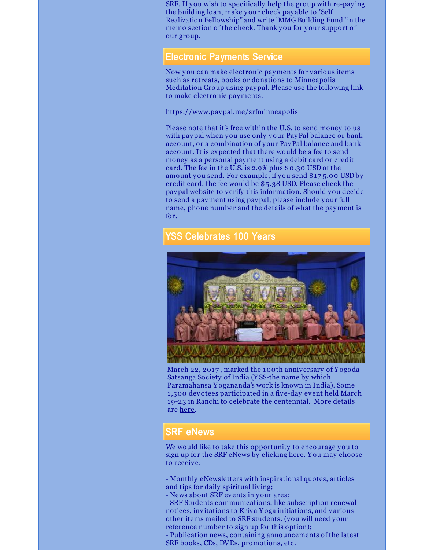SRF. If you wish to specifically help the group with re-paying the building loan, make your check pay able to "Self Realization Fellowship" and write "MMG Building Fund" in the memo section of the check. Thank you for your support of our group.

### Electronic Payments Service

Now you can make electronic payments for various items such as retreats, books or donations to Minneapolis Meditation Group using paypal. Please use the following link to make electronic payments.

#### <https://www.paypal.me/srfminneapolis>

Please note that it's free within the U.S. to send money to us with paypal when you use only your PayPal balance or bank account, or a combination of your PayPal balance and bank account. It is expected that there would be a fee to send money as a personal payment using a debit card or credit card. The fee in the U.S. is 2.9% plus \$0.30 USD of the amount you send. For example, if you send \$17 5.00 USD by credit card, the fee would be \$5.38 USD. Please check the paypal website to verify this information. Should you decide to send a payment using paypal, please include your full name, phone number and the details of what the payment is for.

## YSS Celebrates 100 Years



March 22, 2017 , marked the 100th anniversary of Y ogoda Satsanga Society of India (Y SS-the name by which Paramahansa Y ogananda's work is known in India). Some 1 ,500 devotees participated in a five-day event held March 19-23 in Ranchi to celebrate the centennial. More details are [here](http://www.yogananda-srf.org/NewsArchive/2017/YSS_Celebrates_100_Years.aspx).

## SRF eNews

We would like to take this opportunity to encourage you to sign up for the SRF eNews by [clicking](https://members.yogananda-srf.org/MemberPortal/Account/RegisterEmail) here. Y ou may choose to receive:

- Monthly eNewsletters with inspirational quotes, articles and tips for daily spiritual living;

- News about SRF events in your area;

- SRF Students communications, like subscription renewal notices, invitations to Kriya Y oga initiations, and various other items mailed to SRF students. (you will need your reference number to sign up for this option);

- Publication news, containing announcements of the latest SRF books, CDs, DVDs, promotions, etc.